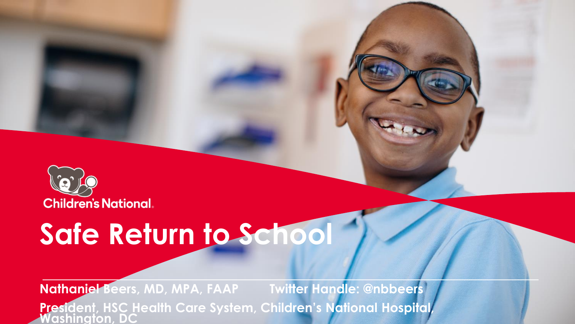

# **Safe Return to School**

**Nathaniel Beers, MD, MPA, FAAP Twitter Handle: @nbbeers President, HSC Health Care System, Children's National Hospital, Washington, DC**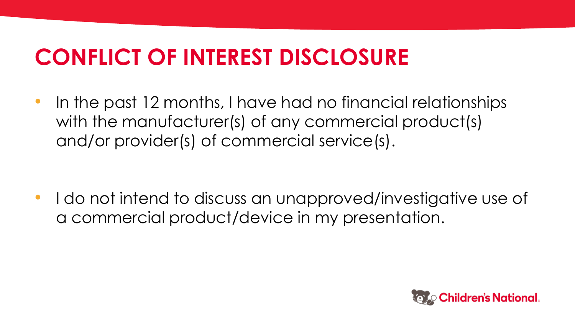### **CONFLICT OF INTEREST DISCLOSURE**

• In the past 12 months, I have had no financial relationships with the manufacturer(s) of any commercial product(s) and/or provider(s) of commercial service(s).

• I do not intend to discuss an unapproved/investigative use of a commercial product/device in my presentation.

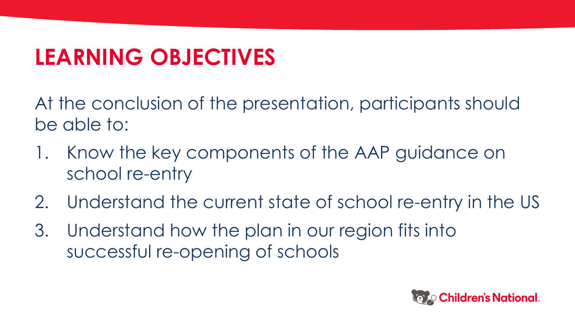## **LEARNING OBJECTIVES**

At the conclusion of the presentation, participants should be able to:

- 1. Know the key components of the AAP guidance on school re-entry
- 2. Understand the current state of school re-entry in the US
- 3. Understand how the plan in our region fits into successful re-opening of schools

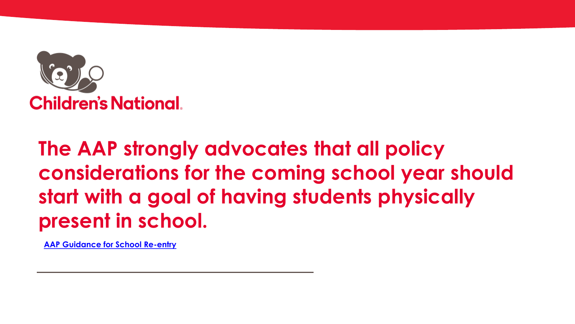

### **The AAP strongly advocates that all policy considerations for the coming school year should start with a goal of having students physically present in school.**

**[AAP Guidance for School Re-entry](https://services.aap.org/en/pages/2019-novel-coronavirus-covid-19-infections/clinical-guidance/covid-19-planning-considerations-return-to-in-person-education-in-schools/)**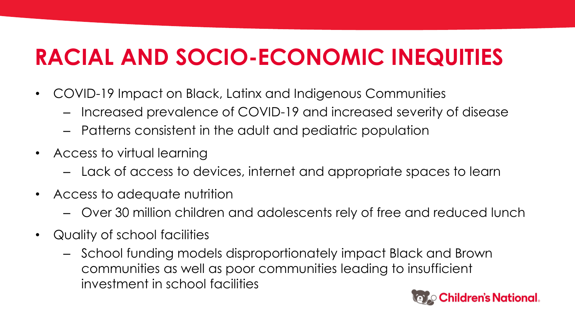## **RACIAL AND SOCIO-ECONOMIC INEQUITIES**

- COVID-19 Impact on Black, Latinx and Indigenous Communities
	- Increased prevalence of COVID-19 and increased severity of disease
	- Patterns consistent in the adult and pediatric population
- Access to virtual learning
	- Lack of access to devices, internet and appropriate spaces to learn
- Access to adequate nutrition
	- Over 30 million children and adolescents rely of free and reduced lunch
- Quality of school facilities
	- School funding models disproportionately impact Black and Brown communities as well as poor communities leading to insufficient investment in school facilities

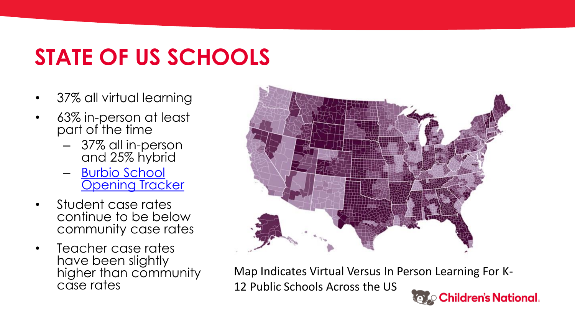## **STATE OF US SCHOOLS**

- 37% all virtual learning
- 63% in-person at least part of the time
	- 37% all in-person and 25% hybrid
	- [Burbio](https://cai.burbio.com/school-opening-tracker/) [School](https://cai.burbio.com/school-opening-tracker/)  [Opening Tracker](https://cai.burbio.com/school-opening-tracker/)
- Student case rates continue to be below community case rates
- Teacher case rates have been slightly higher than community case rates



Map Indicates Virtual Versus In Person Learning For K-12 Public Schools Across the US**Children's National.**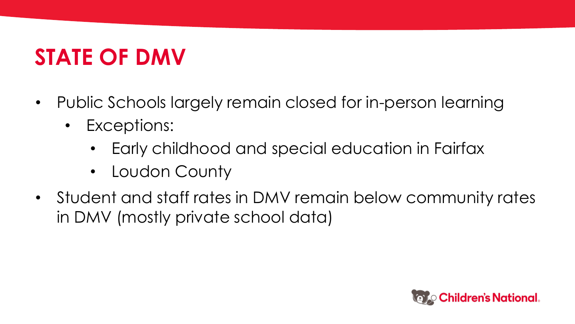## **STATE OF DMV**

- Public Schools largely remain closed for in-person learning
	- Exceptions:
		- Early childhood and special education in Fairfax
		- Loudon County
- Student and staff rates in DMV remain below community rates in DMV (mostly private school data)

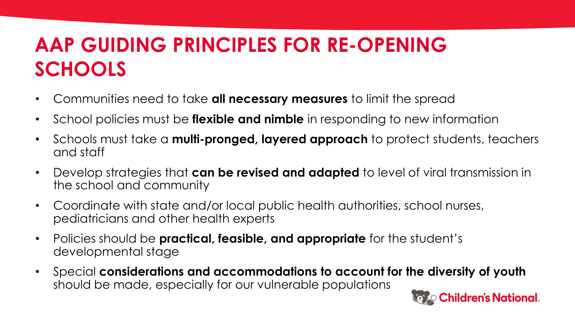### **AAP GUIDING PRINCIPLES FOR RE-OPENING SCHOOLS**

- Communities need to take **all necessary measures** to limit the spread
- School policies must be **flexible and nimble** in responding to new information
- Schools must take a **multi-pronged, layered approach** to protect students, teachers and staff
- Develop strategies that **can be revised and adapted** to level of viral transmission in the school and community
- Coordinate with state and/or local public health authorities, school nurses, pediatricians and other health experts
- Policies should be **practical, feasible, and appropriate** for the student's developmental stage
- Special **considerations and accommodations to account for the diversity of youth**  should be made, especially for our vulnerable populations

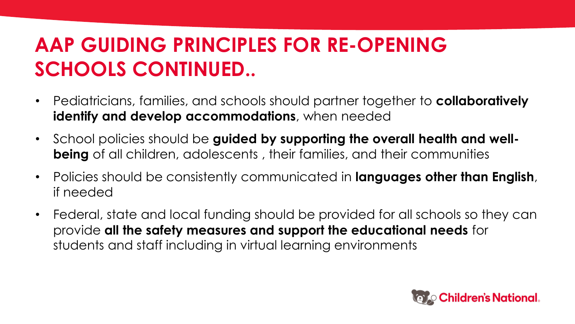### **AAP GUIDING PRINCIPLES FOR RE-OPENING SCHOOLS CONTINUED..**

- Pediatricians, families, and schools should partner together to **collaboratively identify and develop accommodations**, when needed
- School policies should be **guided by supporting the overall health and wellbeing** of all children, adolescents , their families, and their communities
- Policies should be consistently communicated in **languages other than English**, if needed
- Federal, state and local funding should be provided for all schools so they can provide **all the safety measures and support the educational needs** for students and staff including in virtual learning environments

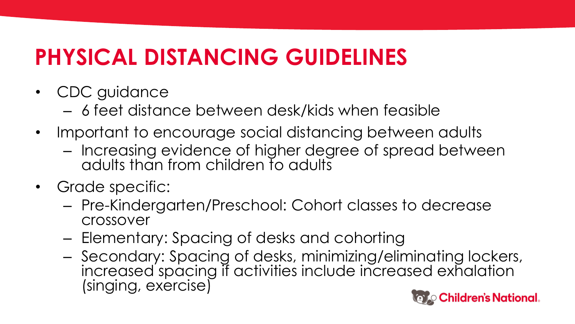## **PHYSICAL DISTANCING GUIDELINES**

- CDC guidance
	- 6 feet distance between desk/kids when feasible
- Important to encourage social distancing between adults
	- Increasing evidence of higher degree of spread between adults than from children to adults
- Grade specific:
	- Pre-Kindergarten/Preschool: Cohort classes to decrease crossover
	- Elementary: Spacing of desks and cohorting
	- Secondary: Spacing of desks, minimizing/eliminating lockers, increased spacing if activities include increased exhalation (singing, exercise)

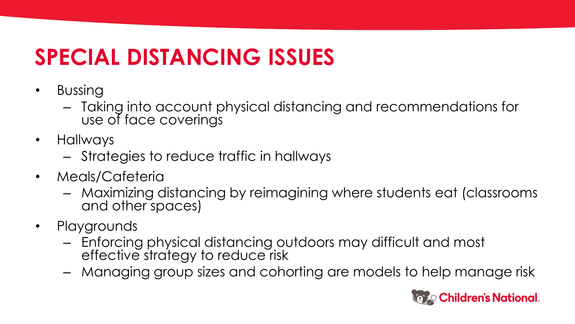## **SPECIAL DISTANCING ISSUES**

- Bussing
	- Taking into account physical distancing and recommendations for use of face coverings
- Hallways
	- Strategies to reduce traffic in hallways
- Meals/Cafeteria
	- Maximizing distancing by reimagining where students eat (classrooms and other spaces)
- Playgrounds
	- Enforcing physical distancing outdoors may difficult and most effective strategy to reduce risk
	- Managing group sizes and cohorting are models to help manage risk

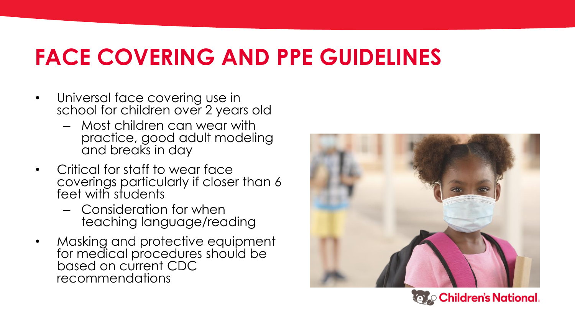### **FACE COVERING AND PPE GUIDELINES**

- Universal face covering use in school for children over 2 years old
	- Most children can wear with practice, good adult modeling and breaks in day
- Critical for staff to wear face coverings particularly if closer than 6 feet with students
	- Consideration for when teaching language/reading
- Masking and protective equipment for medical procedures should be based on current CDC recommendations



**Valgo Children's National.**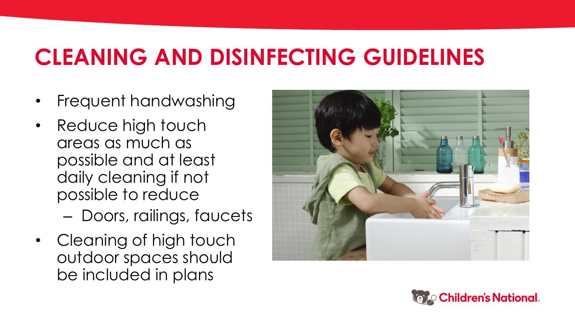### **CLEANING AND DISINFECTING GUIDELINES**

- Frequent handwashing
- Reduce high touch areas as much as possible and at least daily cleaning if not possible to reduce
	- Doors, railings, faucets
- Cleaning of high touch outdoor spaces should be included in plans



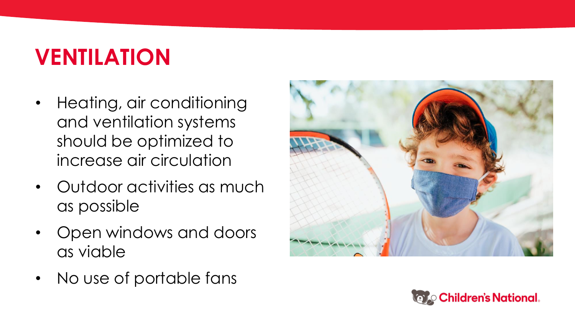## **VENTILATION**

- Heating, air conditioning and ventilation systems should be optimized to increase air circulation
- Outdoor activities as much as possible
- Open windows and doors as viable
- No use of portable fans



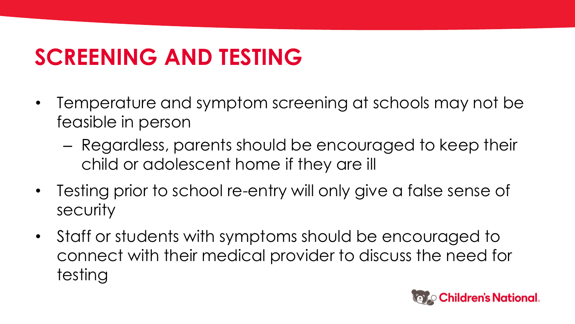### **SCREENING AND TESTING**

- Temperature and symptom screening at schools may not be feasible in person
	- Regardless, parents should be encouraged to keep their child or adolescent home if they are ill
- Testing prior to school re-entry will only give a false sense of security
- Staff or students with symptoms should be encouraged to connect with their medical provider to discuss the need for testing

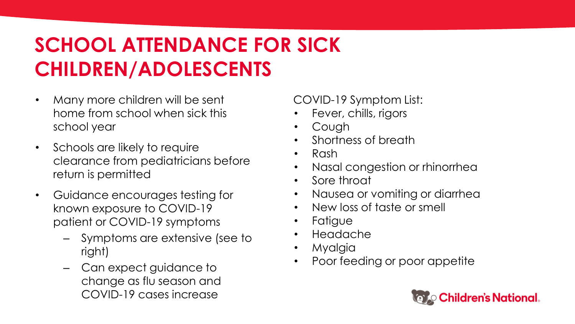### **SCHOOL ATTENDANCE FOR SICK CHILDREN/ADOLESCENTS**

- Many more children will be sent home from school when sick this school year
- Schools are likely to require clearance from pediatricians before return is permitted
- Guidance encourages testing for known exposure to COVID-19 patient or COVID-19 symptoms
	- Symptoms are extensive (see to right)
	- Can expect guidance to change as flu season and COVID-19 cases increase

COVID-19 Symptom List:

- Fever, chills, rigors
- Cough
- Shortness of breath
- Rash
- Nasal congestion or rhinorrhea
- Sore throat
- Nausea or vomiting or diarrhea
- New loss of taste or smell
- Fatigue
- Headache
- Myalgia
- Poor feeding or poor appetite

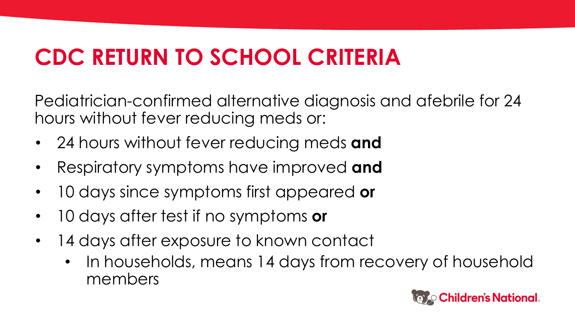### **CDC RETURN TO SCHOOL CRITERIA**

Pediatrician-confirmed alternative diagnosis and afebrile for 24 hours without fever reducing meds or:

- 24 hours without fever reducing meds **and**
- Respiratory symptoms have improved **and**
- 10 days since symptoms first appeared **or**
- 10 days after test if no symptoms **or**
- 14 days after exposure to known contact
	- In households, means 14 days from recovery of household members

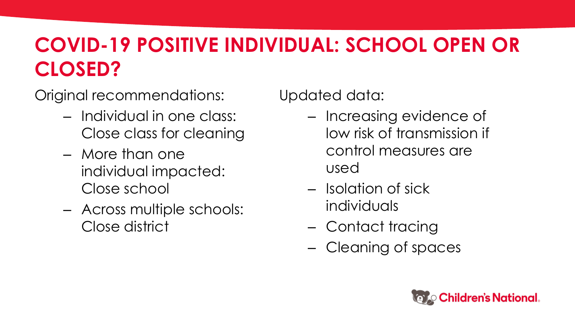### **COVID-19 POSITIVE INDIVIDUAL: SCHOOL OPEN OR CLOSED?**

Original recommendations:

- Individual in one class: Close class for cleaning
- More than one individual impacted: Close school
- Across multiple schools: Close district

Updated data:

- Increasing evidence of low risk of transmission if control measures are used
- Isolation of sick individuals
- Contact tracing
- Cleaning of spaces

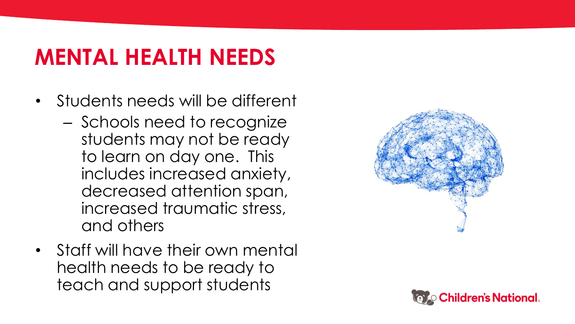## **MENTAL HEALTH NEEDS**

- Students needs will be different
	- Schools need to recognize students may not be ready to learn on day one. This includes increased anxiety, decreased attention span, increased traumatic stress, and others
- Staff will have their own mental health needs to be ready to teach and support students



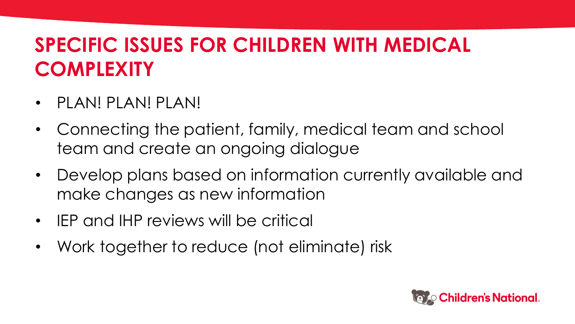#### **SPECIFIC ISSUES FOR CHILDREN WITH MEDICAL COMPLEXITY**

- PLAN! PLAN! PLAN!
- Connecting the patient, family, medical team and school team and create an ongoing dialogue
- Develop plans based on information currently available and make changes as new information
- IEP and IHP reviews will be critical
- Work together to reduce (not eliminate) risk

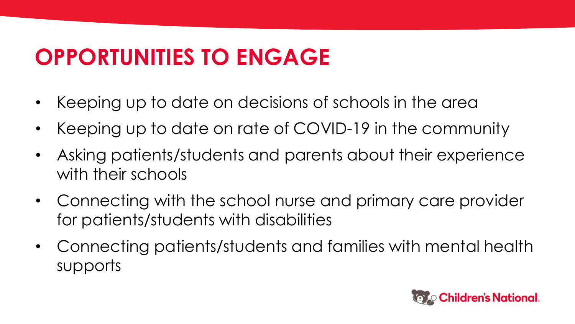### **OPPORTUNITIES TO ENGAGE**

- Keeping up to date on decisions of schools in the area
- Keeping up to date on rate of COVID-19 in the community
- Asking patients/students and parents about their experience with their schools
- Connecting with the school nurse and primary care provider for patients/students with disabilities
- Connecting patients/students and families with mental health supports

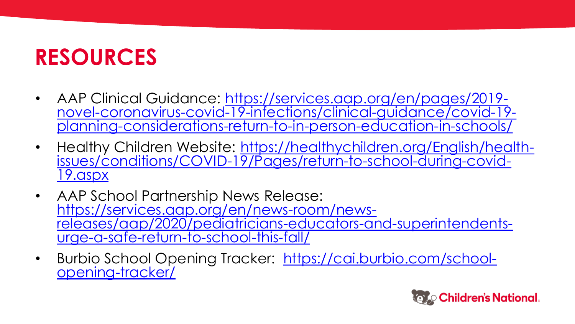### **RESOURCES**

- AAP Clinical Guidance: [https://services.aap.org/en/pages/2019](https://services.aap.org/en/pages/2019-novel-coronavirus-covid-19-infections/clinical-guidance/covid-19-planning-considerations-return-to-in-person-education-in-schools/) [novel-coronavirus-covid-19-infections/clinical-guidance/covid-19](https://services.aap.org/en/pages/2019-novel-coronavirus-covid-19-infections/clinical-guidance/covid-19-planning-considerations-return-to-in-person-education-in-schools/) [planning-considerations-return-to-in-person-education-in-schools/](https://services.aap.org/en/pages/2019-novel-coronavirus-covid-19-infections/clinical-guidance/covid-19-planning-considerations-return-to-in-person-education-in-schools/)
- Healthy Children Website: [https://healthychildren.org/English/health](https://healthychildren.org/English/health-issues/conditions/COVID-19/Pages/return-to-school-during-covid-19.aspx)[issues/conditions/COVID-19/Pages/return-to-school-during-covid-](https://healthychildren.org/English/health-issues/conditions/COVID-19/Pages/return-to-school-during-covid-19.aspx)[19.aspx](https://healthychildren.org/English/health-issues/conditions/COVID-19/Pages/return-to-school-during-covid-19.aspx)
- AAP School Partnership News Release: [https://services.aap.org/en/news-room/news](https://services.aap.org/en/news-room/news-releases/aap/2020/pediatricians-educators-and-superintendents-urge-a-safe-return-to-school-this-fall/)[releases/aap/2020/pediatricians-educators-and-superintendents](https://services.aap.org/en/news-room/news-releases/aap/2020/pediatricians-educators-and-superintendents-urge-a-safe-return-to-school-this-fall/)[urge-a-safe-return-to-school-this-fall/](https://services.aap.org/en/news-room/news-releases/aap/2020/pediatricians-educators-and-superintendents-urge-a-safe-return-to-school-this-fall/)
- Burbio School Opening Tracker: [https://cai.burbio.com/school](https://cai.burbio.com/school-opening-tracker/)[opening-tracker/](https://cai.burbio.com/school-opening-tracker/)